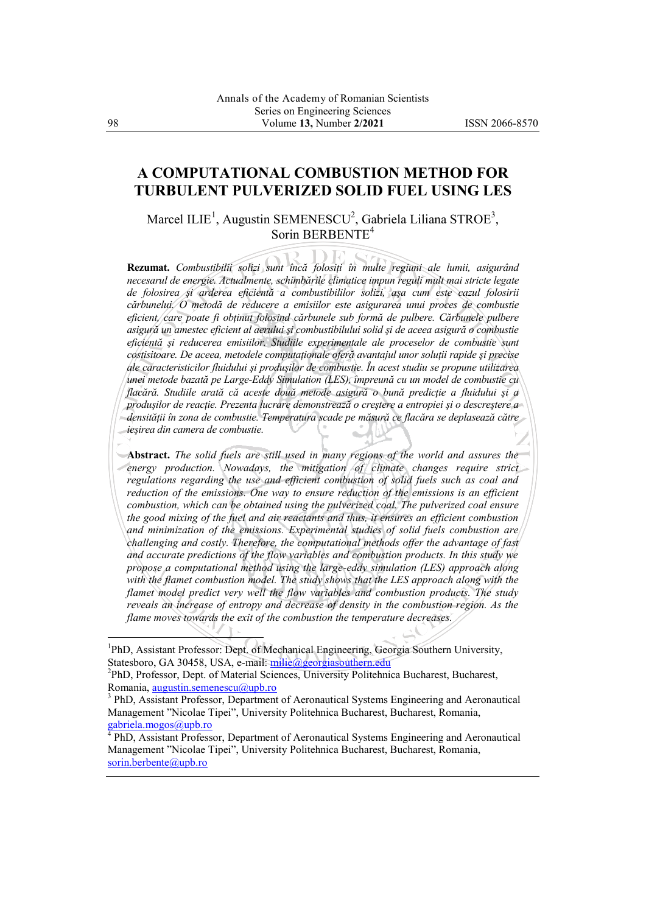## **A COMPUTATIONAL COMBUSTION METHOD FOR TURBULENT PULVERIZED SOLID FUEL USING LES**

Marcel ILIE<sup>1</sup>, Augustin SEMENESCU<sup>2</sup>, Gabriela Liliana STROE<sup>3</sup>, Sorin BERBENTE<sup>4</sup>

**Rezumat.** *Combustibilii solizi sunt încă folosiţi în multe regiuni ale lumii, asigurând necesarul de energie. Actualmente, schimbările climatice impun reguli mult mai stricte legate de folosirea şi arderea eficientă a combustibililor solizi, aşa cum este cazul folosirii cărbunelui. O metodă de reducere a emisiilor este asigurarea unui proces de combustie eficient, care poate fi obţinut folosind cărbunele sub formă de pulbere. Cărbunele pulbere asigură un amestec eficient al aerului şi combustibilului solid şi de aceea asigură o combustie eficientă şi reducerea emisiilor. Studiile experimentale ale proceselor de combustie sunt costisitoare. De aceea, metodele computaţionale oferă avantajul unor soluţii rapide şi precise ale caracteristicilor fluidului şi produşilor de combustie. În acest studiu se propune utilizarea unei metode bazată pe Large-Eddy Simulation (LES), împreună cu un model de combustie cu flacără. Studiile arată că aceste două metode asigură o bună predicţie a fluidului şi a produşilor de reacţie. Prezenta lucrare demonstrează o creştere a entropiei şi o descreştere a densităţii în zona de combustie. Temperatura scade pe măsură ce flacăra se deplasează către ieşirea din camera de combustie.*

**Abstract.** *The solid fuels are still used in many regions of the world and assures the energy production. Nowadays, the mitigation of climate changes require strict regulations regarding the use and efficient combustion of solid fuels such as coal and reduction of the emissions. One way to ensure reduction of the emissions is an efficient combustion, which can be obtained using the pulverized coal. The pulverized coal ensure the good mixing of the fuel and air reactants and thus, it ensures an efficient combustion and minimization of the emissions. Experimental studies of solid fuels combustion are challenging and costly. Therefore, the computational methods offer the advantage of fast and accurate predictions of the flow variables and combustion products. In this study we propose a computational method using the large-eddy simulation (LES) approach along with the flamet combustion model. The study shows that the LES approach along with the flamet model predict very well the flow variables and combustion products. The study reveals an increase of entropy and decrease of density in the combustion region. As the flame moves towards the exit of the combustion the temperature decreases.*

 $\overline{a}$ 

<sup>&</sup>lt;sup>1</sup>PhD, Assistant Professor: Dept. of Mechanical Engineering, Georgia Southern University, Statesboro, GA 30458, USA, e-mail: [milie@georgiasouthern.edu](mailto:milie@georgiasouthern.edu)

<sup>&</sup>lt;sup>2</sup>PhD, Professor, Dept. of Material Sciences, University Politehnica Bucharest, Bucharest, Romania, [augustin.semenescu@upb.ro](mailto:augustin.semenescu@upb.ro)

<sup>&</sup>lt;sup>3</sup> PhD, Assistant Professor, Department of Aeronautical Systems Engineering and Aeronautical Management "Nicolae Tipei", University Politehnica Bucharest, Bucharest, Romania, [gabriela.mogos@upb.ro](mailto:gabriela.mogos@upb.ro)

<sup>&</sup>lt;sup>4</sup> PhD, Assistant Professor, Department of Aeronautical Systems Engineering and Aeronautical Management "Nicolae Tipei", University Politehnica Bucharest, Bucharest, Romania, [sorin.berbente@upb.ro](mailto:sorin.berbente@upb.ro)